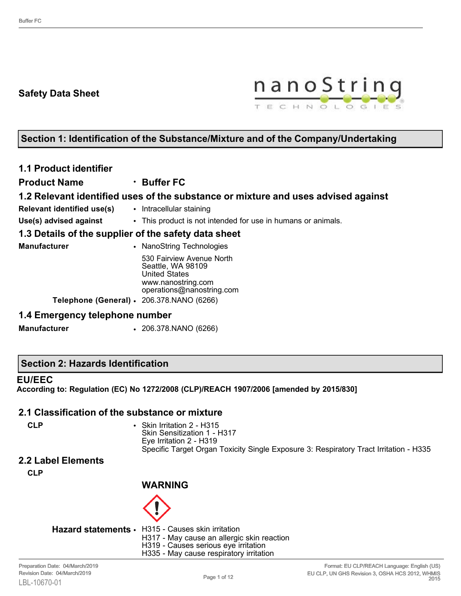# **Safety Data Sheet**



# **Section 1: Identification of the Substance/Mixture and of the Company/Undertaking**

# **1.1 Product identifier**

# **Product Name** • **Buffer FC**

### **1.2 Relevant identified uses of the substance or mixture and uses advised against**

- **Relevant identified use(s)** Intracellular staining
- **Use(s) advised against** This product is not intended for use in humans or animals.

#### **1.3 Details of the supplier of the safety data sheet**

| Manufacturer | • NanoString Technologies                                                                                                                                              |
|--------------|------------------------------------------------------------------------------------------------------------------------------------------------------------------------|
|              | 530 Fairview Avenue North<br>Seattle, WA 98109<br><b>United States</b><br>www.nanostring.com<br>operations@nanostring.com<br>Telephone (General) · 206.378.NANO (6266) |
|              |                                                                                                                                                                        |

#### **1.4 Emergency telephone number**

**Manufacturer** • 206.378.NANO (6266)

#### **Section 2: Hazards Identification**

#### **EU/EEC**

**According to: Regulation (EC) No 1272/2008 (CLP)/REACH 1907/2006 [amended by 2015/830]**

#### **2.1 Classification of the substance or mixture**

**CLP** • Skin Irritation 2 - H315 Skin Sensitization 1 - H317 Eye Irritation 2 - H319 Specific Target Organ Toxicity Single Exposure 3: Respiratory Tract Irritation - H335

# **2.2 Label Elements**

**CLP**

# **WARNING**



- **Hazard statements** H315 Causes skin irritation H317 - May cause an allergic skin reaction
	- H319 Causes serious eye irritation
	- H335 May cause respiratory irritation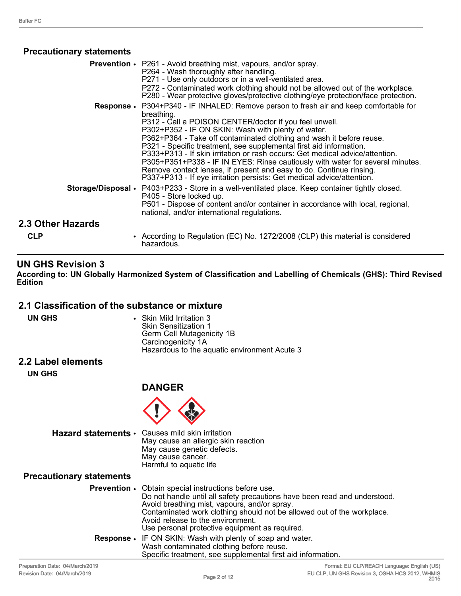### **Precautionary statements**

|                   | <b>Prevention •</b> P261 - Avoid breathing mist, vapours, and/or spray.<br>P264 - Wash thoroughly after handling.<br>P271 - Use only outdoors or in a well-ventilated area.<br>P272 - Contaminated work clothing should not be allowed out of the workplace.<br>P280 - Wear protective gloves/protective clothing/eye protection/face protection.                                                                                                                                                                                                                                                                                                                                          |
|-------------------|--------------------------------------------------------------------------------------------------------------------------------------------------------------------------------------------------------------------------------------------------------------------------------------------------------------------------------------------------------------------------------------------------------------------------------------------------------------------------------------------------------------------------------------------------------------------------------------------------------------------------------------------------------------------------------------------|
|                   | <b>Response •</b> P304+P340 - IF INHALED: Remove person to fresh air and keep comfortable for<br>breathing.<br>P312 - Call a POISON CENTER/doctor if you feel unwell.<br>P302+P352 - IF ON SKIN: Wash with plenty of water.<br>P362+P364 - Take off contaminated clothing and wash it before reuse.<br>P321 - Specific treatment, see supplemental first aid information.<br>P333+P313 - If skin irritation or rash occurs: Get medical advice/attention.<br>P305+P351+P338 - IF IN EYES: Rinse cautiously with water for several minutes.<br>Remove contact lenses, if present and easy to do. Continue rinsing.<br>P337+P313 - If eye irritation persists: Get medical advice/attention. |
|                   | Storage/Disposal • P403+P233 - Store in a well-ventilated place. Keep container tightly closed.<br>P405 - Store locked up.<br>P501 - Dispose of content and/or container in accordance with local, regional,<br>national, and/or international regulations.                                                                                                                                                                                                                                                                                                                                                                                                                                |
| 2.3 Other Hazards |                                                                                                                                                                                                                                                                                                                                                                                                                                                                                                                                                                                                                                                                                            |
| <b>CLP</b>        | • According to Regulation (EC) No. 1272/2008 (CLP) this material is considered<br>hazardous.                                                                                                                                                                                                                                                                                                                                                                                                                                                                                                                                                                                               |

### **UN GHS Revision 3**

**According to: UN Globally Harmonized System of Classification and Labelling of Chemicals (GHS): Third Revised Edition**

# **2.1 Classification of the substance or mixture**

| UN GHS | • Skin Mild Irritation 3                     |
|--------|----------------------------------------------|
|        | <b>Skin Sensitization 1</b>                  |
|        | Germ Cell Mutagenicity 1B                    |
|        | Carcinogenicity 1A                           |
|        | Hazardous to the aquatic environment Acute 3 |
|        |                                              |

#### **2.2 Label elements**

**UN GHS**

# **DANGER**



**Hazard statements** • Causes mild skin irritation

| Udusts Thiu SNII ITIlduvii          |
|-------------------------------------|
| May cause an allergic skin reaction |
| May cause genetic defects.          |
| May cause cancer.                   |
| Harmful to aquatic life             |
|                                     |

#### **Precautionary statements**

| <b>Prevention •</b> Obtain special instructions before use.<br>Do not handle until all safety precautions have been read and understood. |
|------------------------------------------------------------------------------------------------------------------------------------------|
| Avoid breathing mist, vapours, and/or spray.                                                                                             |
| Contaminated work clothing should not be allowed out of the workplace.                                                                   |
| Avoid release to the environment.                                                                                                        |
| Use personal protective equipment as required.                                                                                           |
| <b>Response •</b> IF ON SKIN: Wash with plenty of soap and water.                                                                        |
| Wash contaminated clothing before reuse.                                                                                                 |
| Specific treatment, see supplemental first aid information.                                                                              |
|                                                                                                                                          |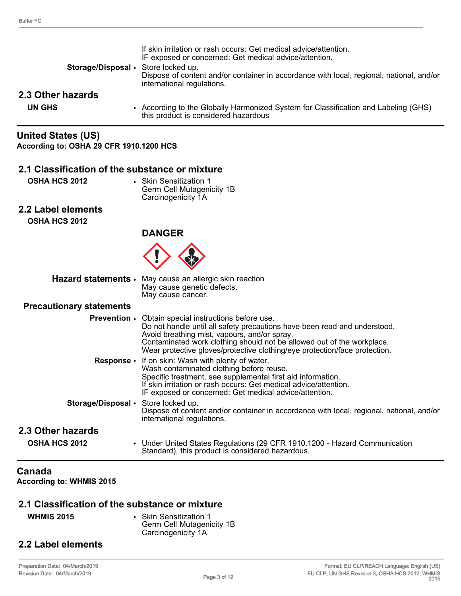| Storage/Disposal • Store locked up. | If skin irritation or rash occurs: Get medical advice/attention.<br>IF exposed or concerned: Get medical advice/attention.<br>Dispose of content and/or container in accordance with local, regional, national, and/or<br>international regulations. |
|-------------------------------------|------------------------------------------------------------------------------------------------------------------------------------------------------------------------------------------------------------------------------------------------------|
| 2.3 Other hazards                   |                                                                                                                                                                                                                                                      |
| UN GHS                              | • According to the Globally Harmonized System for Classification and Labeling (GHS)<br>this product is considered hazardous                                                                                                                          |

# **United States (US)**

**According to: OSHA 29 CFR 1910.1200 HCS**

#### **2.1 Classification of the substance or mixture**

**OSHA HCS 2012** • Skin Sensitization 1 Germ Cell Mutagenicity 1B Carcinogenicity 1A

# **2.2 Label elements**

**OSHA HCS 2012**



| Hazard statements • May cause an allergic skin reaction |
|---------------------------------------------------------|
| May cause genetic defects.                              |
| May cause cancer.                                       |

#### **Precautionary statements**

| <u>r roddaibhar y blaichne na </u>  |                                                                                                                                                                                                                                                                                                                                                  |
|-------------------------------------|--------------------------------------------------------------------------------------------------------------------------------------------------------------------------------------------------------------------------------------------------------------------------------------------------------------------------------------------------|
|                                     | <b>Prevention •</b> Obtain special instructions before use.<br>Do not handle until all safety precautions have been read and understood.<br>Avoid breathing mist, vapours, and/or spray.<br>Contaminated work clothing should not be allowed out of the workplace.<br>Wear protective gloves/protective clothing/eye protection/face protection. |
|                                     | <b>Response</b> • If on skin: Wash with plenty of water.<br>Wash contaminated clothing before reuse.<br>Specific treatment, see supplemental first aid information.<br>If skin irritation or rash occurs: Get medical advice/attention.<br>IF exposed or concerned: Get medical advice/attention.                                                |
| Storage/Disposal • Store locked up. | Dispose of content and/or container in accordance with local, regional, national, and/or<br>international regulations.                                                                                                                                                                                                                           |
| 2.3 Other hazards                   |                                                                                                                                                                                                                                                                                                                                                  |
| <b>OSHA HCS 2012</b>                | • Under United States Regulations (29 CFR 1910.1200 - Hazard Communication<br>Standard), this product is considered hazardous.                                                                                                                                                                                                                   |

### **Canada**

**According to: WHMIS 2015**

#### **2.1 Classification of the substance or mixture**

**WHMIS 2015** • Skin Sensitization 1 Germ Cell Mutagenicity 1B Carcinogenicity 1A

# **2.2 Label elements**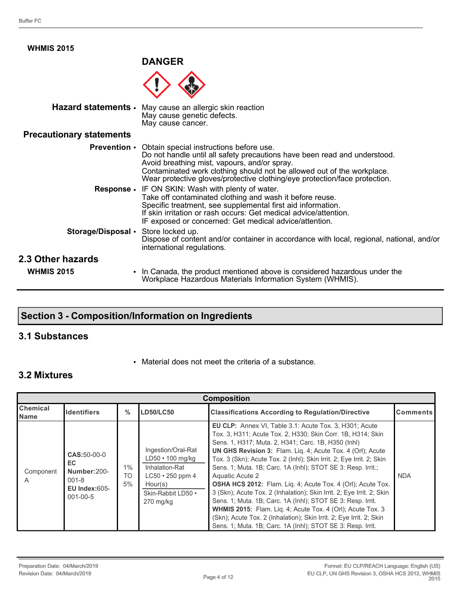| <b>WHMIS 2015</b>                   |                                                                                                                                                                                                                                                                                                                                                                                          |
|-------------------------------------|------------------------------------------------------------------------------------------------------------------------------------------------------------------------------------------------------------------------------------------------------------------------------------------------------------------------------------------------------------------------------------------|
|                                     | <b>DANGER</b>                                                                                                                                                                                                                                                                                                                                                                            |
|                                     |                                                                                                                                                                                                                                                                                                                                                                                          |
| Hazard statements .                 | May cause an allergic skin reaction<br>May cause genetic defects.<br>May cause cancer.                                                                                                                                                                                                                                                                                                   |
| <b>Precautionary statements</b>     |                                                                                                                                                                                                                                                                                                                                                                                          |
| <b>Prevention •</b>                 | Obtain special instructions before use.<br>Do not handle until all safety precautions have been read and understood.<br>Avoid breathing mist, vapours, and/or spray.<br>Contaminated work clothing should not be allowed out of the workplace.<br>Wear protective gloves/protective clothing/eye protection/face protection.<br><b>Response •</b> IF ON SKIN: Wash with plenty of water. |
|                                     | Take off contaminated clothing and wash it before reuse.<br>Specific treatment, see supplemental first aid information.<br>If skin irritation or rash occurs: Get medical advice/attention.<br>IF exposed or concerned: Get medical advice/attention.                                                                                                                                    |
| Storage/Disposal • Store locked up. | Dispose of content and/or container in accordance with local, regional, national, and/or<br>international regulations.                                                                                                                                                                                                                                                                   |
| 2.3 Other hazards                   |                                                                                                                                                                                                                                                                                                                                                                                          |
| <b>WHMIS 2015</b>                   | • In Canada, the product mentioned above is considered hazardous under the<br>Workplace Hazardous Materials Information System (WHMIS).                                                                                                                                                                                                                                                  |

# **Section 3 - Composition/Information on Ingredients**

# **3.1 Substances**

• Material does not meet the criteria of a substance.

# **3.2 Mixtures**

| <b>Composition</b>      |                                                                                        |                          |                                                                                                                                          |                                                                                                                                                                                                                                                                                                                                                                                                                                                                                                                                                                                                                                                                                                                                                                                                                                              |                 |
|-------------------------|----------------------------------------------------------------------------------------|--------------------------|------------------------------------------------------------------------------------------------------------------------------------------|----------------------------------------------------------------------------------------------------------------------------------------------------------------------------------------------------------------------------------------------------------------------------------------------------------------------------------------------------------------------------------------------------------------------------------------------------------------------------------------------------------------------------------------------------------------------------------------------------------------------------------------------------------------------------------------------------------------------------------------------------------------------------------------------------------------------------------------------|-----------------|
| <b>Chemical</b><br>Name | <b>Identifiers</b>                                                                     | $\%$                     | <b>LD50/LC50</b>                                                                                                                         | <b>Classifications According to Regulation/Directive</b>                                                                                                                                                                                                                                                                                                                                                                                                                                                                                                                                                                                                                                                                                                                                                                                     | <b>Comments</b> |
| Component<br>A          | CAS:50-00-0<br>EC.<br>Number:200-<br>$001 - 8$<br>$EU$ Index: $605-$<br>$001 - 00 - 5$ | $1\%$<br><b>TO</b><br>5% | Ingestion/Oral-Rat<br>$LD50 \cdot 100$ mg/kg<br>Inhalation-Rat<br>$LC50 \cdot 250$ ppm 4<br>Hour(s)<br>Skin-Rabbit LD50 .<br>$270$ mg/kg | <b>EU CLP:</b> Annex VI, Table 3.1: Acute Tox. 3, H301; Acute<br>Tox. 3, H311; Acute Tox. 2, H330; Skin Corr. 1B, H314; Skin<br>Sens. 1, H317; Muta. 2, H341; Carc. 1B, H350 (lnhl)<br><b>UN GHS Revision 3: Flam. Lig. 4; Acute Tox. 4 (Orl); Acute</b><br>Tox. 3 (Skn); Acute Tox. 2 (Inhl); Skin Irrit. 2; Eye Irrit. 2; Skin<br>Sens. 1; Muta. 1B; Carc. 1A (Inhl); STOT SE 3: Resp. Irrit.;<br>Aquatic Acute 2<br><b>OSHA HCS 2012:</b> Flam. Lig. 4; Acute Tox. 4 (Orl); Acute Tox.<br>3 (Skn); Acute Tox. 2 (Inhalation); Skin Irrit. 2; Eye Irrit. 2; Skin<br>Sens. 1; Muta. 1B; Carc. 1A (Inhl); STOT SE 3: Resp. Irrit.<br><b>WHMIS 2015:</b> Flam. Liq. 4; Acute Tox. 4 (Orl); Acute Tox. 3<br>(Skn); Acute Tox. 2 (Inhalation); Skin Irrit. 2; Eye Irrit. 2; Skin<br>Sens. 1; Muta. 1B; Carc. 1A (Inhl); STOT SE 3: Resp. Irrit. | <b>NDA</b>      |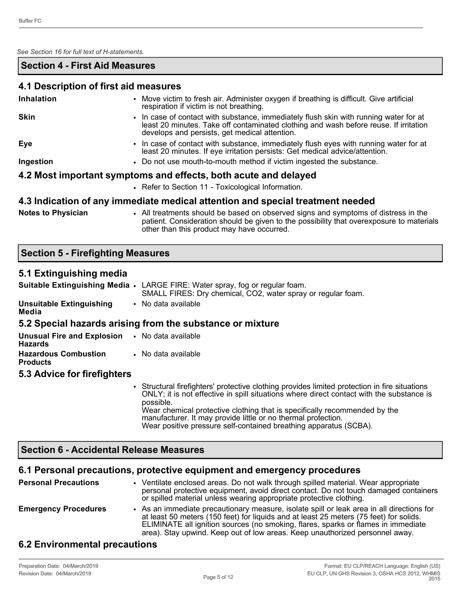*See Section 16 for full text of H-statements.* 

#### **Section 4 - First Aid Measures**

#### **4.1 Description of first aid measures**

| <b>Inhalation</b>                                               |                                                                                                                                                                                                                                 |  |
|-----------------------------------------------------------------|---------------------------------------------------------------------------------------------------------------------------------------------------------------------------------------------------------------------------------|--|
|                                                                 | • Move victim to fresh air. Administer oxygen if breathing is difficult. Give artificial<br>respiration if victim is not breathing.                                                                                             |  |
| <b>Skin</b>                                                     | • In case of contact with substance, immediately flush skin with running water for at<br>least 20 minutes. Take off contaminated clothing and wash before reuse. If irritation<br>develops and persists, get medical attention. |  |
| Eye                                                             | • In case of contact with substance, immediately flush eyes with running water for at<br>least 20 minutes. If eye irritation persists: Get medical advice/attention.                                                            |  |
| Ingestion                                                       | • Do not use mouth-to-mouth method if victim ingested the substance.                                                                                                                                                            |  |
| 4.2 Most important symptoms and effects, both acute and delayed |                                                                                                                                                                                                                                 |  |
|                                                                 | • Refer to Section 11 - Toxicological Information.                                                                                                                                                                              |  |
|                                                                 | 4.3 Indication of any immediate medical attention and special treatment needed                                                                                                                                                  |  |
| Alexander Block between                                         | All the close suite to be studied to contract the contract of the construction of distance in the co                                                                                                                            |  |

**Notes to Physician** • All treatments should be based on observed signs and symptoms of distress in the patient. Consideration should be given to the possibility that overexposure to materials other than this product may have occurred.

#### **Section 5 - Firefighting Measures**

#### **5.1 Extinguishing media**

|                                                                  | Suitable Extinguishing Media • LARGE FIRE: Water spray, fog or regular foam.<br>SMALL FIRES: Dry chemical, CO2, water spray or regular foam.                                                                                                                                                                                                                                                                              |  |  |
|------------------------------------------------------------------|---------------------------------------------------------------------------------------------------------------------------------------------------------------------------------------------------------------------------------------------------------------------------------------------------------------------------------------------------------------------------------------------------------------------------|--|--|
| <b>Unsuitable Extinguishing</b><br>Media                         | • No data available                                                                                                                                                                                                                                                                                                                                                                                                       |  |  |
|                                                                  | 5.2 Special hazards arising from the substance or mixture                                                                                                                                                                                                                                                                                                                                                                 |  |  |
| <b>Unusual Fire and Explosion • No data available</b><br>Hazards |                                                                                                                                                                                                                                                                                                                                                                                                                           |  |  |
| <b>Hazardous Combustion</b><br><b>Products</b>                   | • No data available                                                                                                                                                                                                                                                                                                                                                                                                       |  |  |
| 5.3 Advice for firefighters                                      |                                                                                                                                                                                                                                                                                                                                                                                                                           |  |  |
|                                                                  | • Structural firefighters' protective clothing provides limited protection in fire situations<br>ONLY; it is not effective in spill situations where direct contact with the substance is<br>possible.<br>Wear chemical protective clothing that is specifically recommended by the<br>manufacturer. It may provide little or no thermal protection.<br>Wear positive pressure self-contained breathing apparatus (SCBA). |  |  |

# **Section 6 - Accidental Release Measures**

# **6.1 Personal precautions, protective equipment and emergency procedures**

| <b>Personal Precautions</b>          | • Ventilate enclosed areas. Do not walk through spilled material. Wear appropriate<br>personal protective equipment, avoid direct contact. Do not touch damaged containers<br>or spilled material unless wearing appropriate protective clothing.                                                                                                        |
|--------------------------------------|----------------------------------------------------------------------------------------------------------------------------------------------------------------------------------------------------------------------------------------------------------------------------------------------------------------------------------------------------------|
| <b>Emergency Procedures</b>          | • As an immediate precautionary measure, isolate spill or leak area in all directions for<br>at least 50 meters (150 feet) for liquids and at least 25 meters (75 feet) for solids.<br>ELIMINATE all ignition sources (no smoking, flares, sparks or flames in immediate<br>area). Stay upwind. Keep out of low areas. Keep unauthorized personnel away. |
| A A Excelse concented was excellence |                                                                                                                                                                                                                                                                                                                                                          |

# **6.2 Environmental precautions**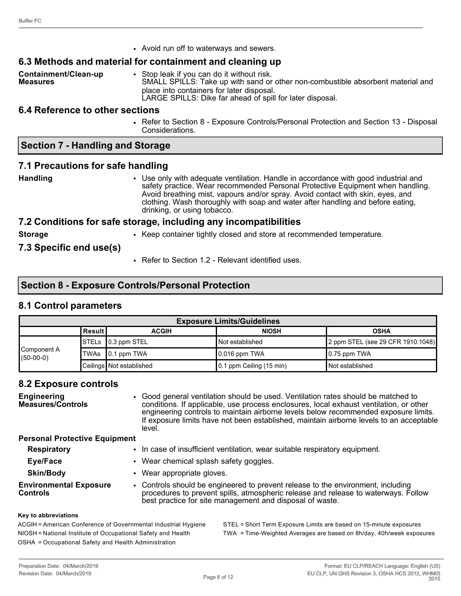• Avoid run off to waterways and sewers.

#### **6.3 Methods and material for containment and cleaning up**

**Containment/Clean-up Measures** • Stop leak if you can do it without risk. SMALL SPILLS: Take up with sand or other non-combustible absorbent material and place into containers for later disposal. LARGE SPILLS: Dike far ahead of spill for later disposal.

#### **6.4 Reference to other sections**

• Refer to Section 8 - Exposure Controls/Personal Protection and Section 13 - Disposal Considerations.

#### **Section 7 - Handling and Storage**

#### **7.1 Precautions for safe handling**

**Handling** • Use only with adequate ventilation. Handle in accordance with good industrial and safety practice. Wear recommended Personal Protective Equipment when handling. Avoid breathing mist, vapours and/or spray. Avoid contact with skin, eyes, and clothing. Wash thoroughly with soap and water after handling and before eating, drinking, or using tobacco.

#### **7.2 Conditions for safe storage, including any incompatibilities**

**Storage** • Keep container tightly closed and store at recommended temperature.

#### **7.3 Specific end use(s)**

• Refer to Section 1.2 - Relevant identified uses.

#### **Section 8 - Exposure Controls/Personal Protection**

#### **8.1 Control parameters**

| <b>Exposure Limits/Guidelines</b> |                                                          |                             |                                  |                                   |  |  |
|-----------------------------------|----------------------------------------------------------|-----------------------------|----------------------------------|-----------------------------------|--|--|
|                                   | ∣Result I<br><b>NIOSH</b><br><b>ACGIH</b><br><b>OSHA</b> |                             |                                  |                                   |  |  |
| Component A<br>$(50-00-0)$        |                                                          | STELs 0.3 ppm STEL          | <b>Not established</b>           | 2 ppm STEL (see 29 CFR 1910.1048) |  |  |
|                                   |                                                          | $\textsf{TWAs}$ 0.1 ppm TWA | $\vert$ 0.016 ppm TWA            | $\vert 0.75$ ppm TWA              |  |  |
|                                   |                                                          | Ceilings Not established    | $\vert$ 0.1 ppm Ceiling (15 min) | <b>Not established</b>            |  |  |

#### **8.2 Exposure controls**

| <b>Engineering</b><br>Measures/Controls          | • Good general ventilation should be used. Ventilation rates should be matched to<br>conditions. If applicable, use process enclosures, local exhaust ventilation, or other<br>engineering controls to maintain airborne levels below recommended exposure limits.<br>If exposure limits have not been established, maintain airborne levels to an acceptable<br>level. |
|--------------------------------------------------|-------------------------------------------------------------------------------------------------------------------------------------------------------------------------------------------------------------------------------------------------------------------------------------------------------------------------------------------------------------------------|
| <b>Personal Protective Equipment</b>             |                                                                                                                                                                                                                                                                                                                                                                         |
| <b>Respiratory</b>                               | • In case of insufficient ventilation, wear suitable respiratory equipment.                                                                                                                                                                                                                                                                                             |
| Eye/Face                                         | • Wear chemical splash safety goggles.                                                                                                                                                                                                                                                                                                                                  |
| <b>Skin/Body</b>                                 | • Wear appropriate gloves.                                                                                                                                                                                                                                                                                                                                              |
| <b>Environmental Exposure</b><br><b>Controls</b> | • Controls should be engineered to prevent release to the environment, including<br>procedures to prevent spills, atmospheric release and release to waterways. Follow<br>best practice for site management and disposal of waste.                                                                                                                                      |
|                                                  |                                                                                                                                                                                                                                                                                                                                                                         |

#### **Key to abbreviations**

ACGIH = American Conference of Governmental Industrial Hygiene STEL = Short Term Exposure Limits are based on 15-minute exposures NIOSH = National Institute of Occupational Safety and Health TWA = Time-Weighted Averages are based on 8h/day, 40h/week exposures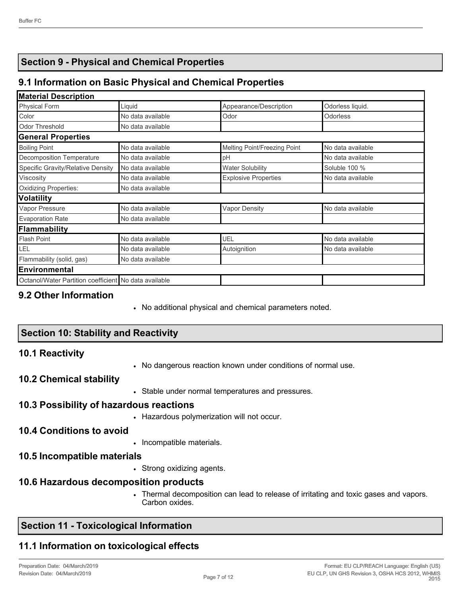# **Section 9 - Physical and Chemical Properties**

# **9.1 Information on Basic Physical and Chemical Properties**

# **Material Description**

| <b>Physical Form</b>                                  | Liquid            | Appearance/Description       | Odorless liquid.  |
|-------------------------------------------------------|-------------------|------------------------------|-------------------|
| Color                                                 | No data available | Odor                         | Odorless          |
| Odor Threshold                                        | No data available |                              |                   |
| <b>General Properties</b>                             |                   |                              |                   |
| <b>Boiling Point</b>                                  | No data available | Melting Point/Freezing Point | No data available |
| Decomposition Temperature                             | No data available | pH                           | No data available |
| Specific Gravity/Relative Density                     | No data available | <b>Water Solubility</b>      | Soluble 100 %     |
| Viscosity                                             | No data available | <b>Explosive Properties</b>  | No data available |
| Oxidizing Properties:                                 | No data available |                              |                   |
| Volatility                                            |                   |                              |                   |
| Vapor Pressure                                        | No data available | <b>Vapor Density</b>         | No data available |
| <b>Evaporation Rate</b>                               | No data available |                              |                   |
| Flammability                                          |                   |                              |                   |
| Flash Point                                           | No data available | <b>UEL</b>                   | No data available |
| LEL                                                   | No data available | Autoignition                 | No data available |
| Flammability (solid, gas)                             | No data available |                              |                   |
| Environmental                                         |                   |                              |                   |
| Octanol/Water Partition coefficient No data available |                   |                              |                   |

### **9.2 Other Information**

• No additional physical and chemical parameters noted.

# **Section 10: Stability and Reactivity**

#### **10.1 Reactivity**

• No dangerous reaction known under conditions of normal use.

#### **10.2 Chemical stability**

• Stable under normal temperatures and pressures.

#### **10.3 Possibility of hazardous reactions**

• Hazardous polymerization will not occur.

# **10.4 Conditions to avoid**

• Incompatible materials.

# **10.5 Incompatible materials**

• Strong oxidizing agents.

# **10.6 Hazardous decomposition products**

• Thermal decomposition can lead to release of irritating and toxic gases and vapors. Carbon oxides.

# **Section 11 - Toxicological Information**

# **11.1 Information on toxicological effects**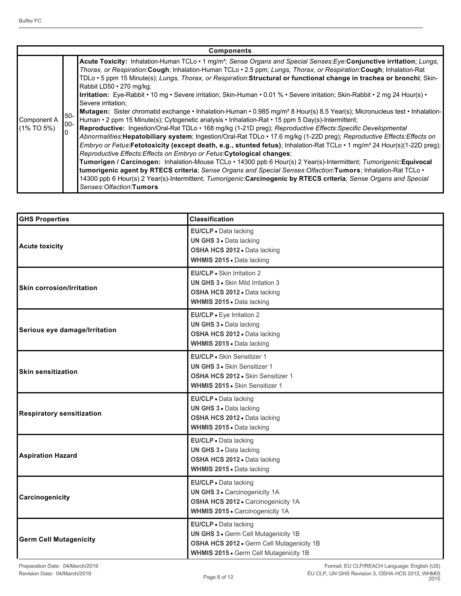|                              |              | <b>Components</b>                                                                                                                                                                                                                                                                                                                                                                                                                                                                                                                                                                                                                                                                                                                                                                                                                                                                                                                                                                                                                                                                                                                                                                                                                                                                                                                                                                                                                                                                                                                                                                                                                                                        |
|------------------------------|--------------|--------------------------------------------------------------------------------------------------------------------------------------------------------------------------------------------------------------------------------------------------------------------------------------------------------------------------------------------------------------------------------------------------------------------------------------------------------------------------------------------------------------------------------------------------------------------------------------------------------------------------------------------------------------------------------------------------------------------------------------------------------------------------------------------------------------------------------------------------------------------------------------------------------------------------------------------------------------------------------------------------------------------------------------------------------------------------------------------------------------------------------------------------------------------------------------------------------------------------------------------------------------------------------------------------------------------------------------------------------------------------------------------------------------------------------------------------------------------------------------------------------------------------------------------------------------------------------------------------------------------------------------------------------------------------|
| Component A<br>$(1\%$ TO 5%) | 150-<br>100- | Acute Toxicity: Inhalation-Human TCLo · 1 mg/m <sup>3</sup> ; Sense Organs and Special Senses: Eye: Conjunctive irritation; Lungs,<br>Thorax, or Respiration: Cough; Inhalation-Human TCLo . 2.5 ppm; Lungs, Thorax, or Respiration: Cough; Inhalation-Rat<br>TDLo · 5 ppm 15 Minute(s); Lungs, Thorax, or Respiration: Structural or functional change in trachea or bronchi; Skin-<br>Rabbit LD50 · 270 mg/kg;<br>Irritation: Eye-Rabbit • 10 mg • Severe irritation; Skin-Human • 0.01 % • Severe irritation; Skin-Rabbit • 2 mg 24 Hour(s) •<br>Severe irritation:<br>Mutagen: Sister chromatid exchange • Inhalation-Human • 0.985 mg/m <sup>3</sup> 8 Hour(s) 8.5 Year(s); Micronucleus test • Inhalation-<br>Human • 2 ppm 15 Minute(s); Cytogenetic analysis • Inhalation-Rat • 15 ppm 5 Day(s)-Intermittent;<br>Reproductive: Ingestion/Oral-Rat TDLo · 168 mg/kg (1-21D preg); Reproductive Effects: Specific Developmental<br>Abnormalities: Hepatobiliary system; Ingestion/Oral-Rat TDLo · 17.6 mg/kg (1-22D preg); Reproductive Effects: Effects on<br>Embryo or Fetus:Fetotoxicity (except death, e.g., stunted fetus); Inhalation-Rat TCLo · 1 mg/m <sup>3</sup> 24 Hour(s)(1-22D preg);<br>Reproductive Effects: Effects on Embryo or Fetus: Cytological changes;<br>Tumorigen / Carcinogen: Inhalation-Mouse TCLo · 14300 ppb 6 Hour(s) 2 Year(s)-Intermittent; Tumorigenic:Equivocal<br>tumorigenic agent by RTECS criteria; Sense Organs and Special Senses: Olfaction: Tumors; Inhalation-Rat TCLo .<br>14300 ppb 6 Hour(s) 2 Year(s)-Intermittent; Tumorigenic:Carcinogenic by RTECS criteria; Sense Organs and Special<br>Senses:Olfaction:Tumors |

| <b>GHS Properties</b>            | <b>Classification</b>                                                                                                                                |  |  |
|----------------------------------|------------------------------------------------------------------------------------------------------------------------------------------------------|--|--|
| <b>Acute toxicity</b>            | EU/CLP · Data lacking<br>UN GHS 3 . Data lacking<br>OSHA HCS 2012 . Data lacking<br>WHMIS 2015 . Data lacking                                        |  |  |
| <b>Skin corrosion/Irritation</b> | EU/CLP · Skin Irritation 2<br><b>UN GHS 3 · Skin Mild Irritation 3</b><br>OSHA HCS 2012 . Data lacking<br>WHMIS 2015 . Data lacking                  |  |  |
| Serious eye damage/Irritation    | EU/CLP . Eye Irritation 2<br>UN GHS 3 . Data lacking<br>OSHA HCS 2012 . Data lacking<br>WHMIS 2015 . Data lacking                                    |  |  |
| <b>Skin sensitization</b>        | EU/CLP • Skin Sensitizer 1<br><b>UN GHS 3 • Skin Sensitizer 1</b><br>OSHA HCS 2012 . Skin Sensitizer 1<br>WHMIS 2015 . Skin Sensitizer 1             |  |  |
| <b>Respiratory sensitization</b> | EU/CLP · Data lacking<br>UN GHS 3 . Data lacking<br>OSHA HCS 2012 . Data lacking<br>WHMIS 2015 . Data lacking                                        |  |  |
| <b>Aspiration Hazard</b>         | EU/CLP . Data lacking<br>UN GHS 3 . Data lacking<br>OSHA HCS 2012 . Data lacking<br>WHMIS 2015 . Data lacking                                        |  |  |
| Carcinogenicity                  | EU/CLP · Data lacking<br>UN GHS 3 · Carcinogenicity 1A<br>OSHA HCS 2012 - Carcinogenicity 1A<br>WHMIS 2015 . Carcinogenicity 1A                      |  |  |
| <b>Germ Cell Mutagenicity</b>    | EU/CLP · Data lacking<br>UN GHS 3 . Germ Cell Mutagenicity 1B<br>OSHA HCS 2012 . Germ Cell Mutagenicity 1B<br>WHMIS 2015 . Germ Cell Mutagenicity 1B |  |  |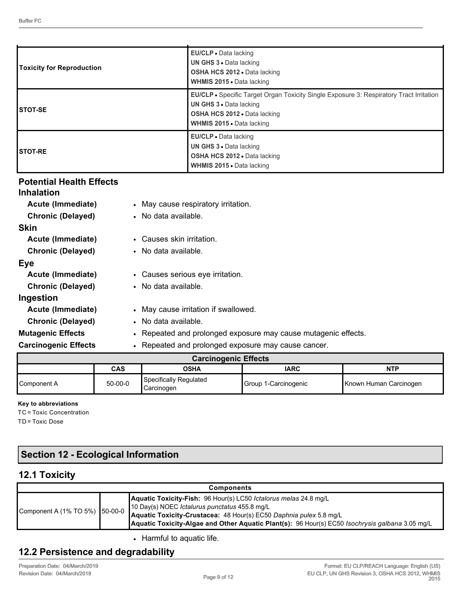| <b>Toxicity for Reproduction</b> | EU/CLP • Data lacking<br><b>UN GHS 3 • Data lacking</b><br><b>OSHA HCS 2012 • Data lacking</b><br><b>WHMIS 2015 • Data lacking</b>                                                                          |
|----------------------------------|-------------------------------------------------------------------------------------------------------------------------------------------------------------------------------------------------------------|
| <b>ISTOT-SE</b>                  | <b>EU/CLP •</b> Specific Target Organ Toxicity Single Exposure 3: Respiratory Tract Irritation<br><b>UN GHS 3 . Data lacking</b><br><b>OSHA HCS 2012 • Data lacking</b><br><b>WHMIS 2015 • Data lacking</b> |
| <b>ISTOT-RE</b>                  | EU/CLP • Data lacking<br><b>UN GHS 3 • Data lacking</b><br><b>OSHA HCS 2012 • Data lacking</b><br><b>WHMIS 2015 - Data lacking</b>                                                                          |

# **Potential Health Effects**

| <b>Inhalation</b>           |                                                                |
|-----------------------------|----------------------------------------------------------------|
| Acute (Immediate)           | • May cause respiratory irritation.                            |
| <b>Chronic (Delayed)</b>    | • No data available.                                           |
| <b>Skin</b>                 |                                                                |
| Acute (Immediate)           | • Causes skin irritation.                                      |
| <b>Chronic (Delayed)</b>    | • No data available.                                           |
| Eye                         |                                                                |
| Acute (Immediate)           | • Causes serious eye irritation.                               |
| <b>Chronic (Delayed)</b>    | • No data available.                                           |
| Ingestion                   |                                                                |
| Acute (Immediate)           | • May cause irritation if swallowed.                           |
| <b>Chronic (Delayed)</b>    | • No data available.                                           |
| <b>Mutagenic Effects</b>    | • Repeated and prolonged exposure may cause mutagenic effects. |
| <b>Carcinogenic Effects</b> | • Repeated and prolonged exposure may cause cancer.            |

| <b>Carcinogenic Effects</b>       |               |                                        |                      |                        |  |
|-----------------------------------|---------------|----------------------------------------|----------------------|------------------------|--|
| <b>IARC</b><br>NTP<br>CAS<br>OSHA |               |                                        |                      |                        |  |
| Component A                       | $50 - 00 - 0$ | Specifically Regulated<br>l Carcinogen | Group 1-Carcinogenic | Known Human Carcinogen |  |

#### **Key to abbreviations**

TC = Toxic Concentration TD = Toxic Dose

# **Section 12 - Ecological Information**

# **12.1 Toxicity**

| <b>Components</b>              |  |                                                                                                                                                                                                                                                                                                   |  |  |
|--------------------------------|--|---------------------------------------------------------------------------------------------------------------------------------------------------------------------------------------------------------------------------------------------------------------------------------------------------|--|--|
| Component A (1% TO 5%) 50-00-0 |  | Aquatic Toxicity-Fish: 96 Hour(s) LC50 Ictalorus melas 24.8 mg/L<br>10 Day(s) NOEC <i>Ictalurus punctatus</i> 455.8 mg/L<br>Aquatic Toxicity-Crustacea: 48 Hour(s) EC50 Daphnia pulex 5.8 mg/L<br>Aquatic Toxicity-Algae and Other Aquatic Plant(s): 96 Hour(s) EC50 Isochrysis galbana 3.05 mg/L |  |  |

• Harmful to aquatic life.

# **12.2 Persistence and degradability**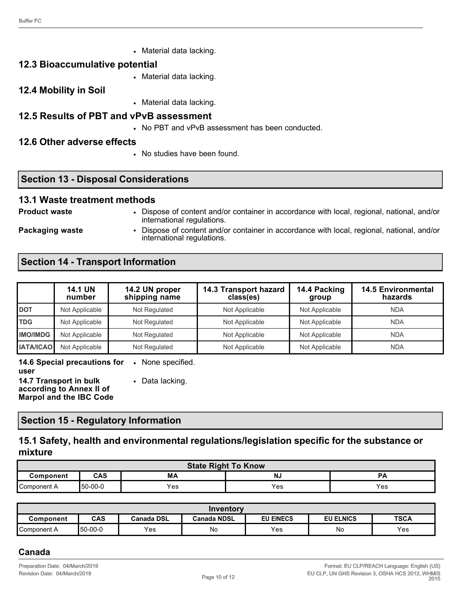• Material data lacking.

#### **12.3 Bioaccumulative potential**

- Material data lacking.
- **12.4 Mobility in Soil**
- Material data lacking.
- **12.5 Results of PBT and vPvB assessment**
	- No PBT and vPvB assessment has been conducted.

#### **12.6 Other adverse effects**

• No studies have been found.

# **Section 13 - Disposal Considerations**

#### **13.1 Waste treatment methods**

**Product waste** • Dispose of content and/or container in accordance with local, regional, national, and/or international regulations.

**Packaging waste** • Dispose of content and/or container in accordance with local, regional, national, and/or international regulations.

# **Section 14 - Transport Information**

|                  | <b>14.1 UN</b><br>number | 14.2 UN proper<br>shipping name | 14.3 Transport hazard<br>class(es) | 14.4 Packing<br>group | <b>14.5 Environmental</b><br>hazards |
|------------------|--------------------------|---------------------------------|------------------------------------|-----------------------|--------------------------------------|
| <b>DOT</b>       | Not Applicable           | Not Regulated                   | Not Applicable                     | Not Applicable        | <b>NDA</b>                           |
| <b>TDG</b>       | Not Applicable           | Not Regulated                   | Not Applicable                     | Not Applicable        | <b>NDA</b>                           |
| <b>IMO/IMDG</b>  | Not Applicable           | Not Regulated                   | Not Applicable                     | Not Applicable        | <b>NDA</b>                           |
| <b>IATA/ICAO</b> | Not Applicable           | Not Regulated                   | Not Applicable                     | Not Applicable        | <b>NDA</b>                           |

**14.6 Special precautions for**  • None specified. **user**

**14.7 Transport in bulk according to Annex II of Marpol and the IBC Code** • Data lacking.

#### **Section 15 - Regulatory Information**

# **15.1 Safety, health and environmental regulations/legislation specific for the substance or mixture**

| <b>State Right To Know</b>                |         |     |     |     |  |  |
|-------------------------------------------|---------|-----|-----|-----|--|--|
| <b>CAS</b><br>МA<br>NJ<br>Component<br>PА |         |     |     |     |  |  |
| Component A                               | 50-00-0 | Yes | Yes | Yes |  |  |

| Inventory   |          |                   |                    |                  |                  |             |  |  |
|-------------|----------|-------------------|--------------------|------------------|------------------|-------------|--|--|
| Component   | CAS      | <b>Canada DSL</b> | <b>Canada NDSL</b> | <b>EU EINECS</b> | <b>EU ELNICS</b> | <b>TSCA</b> |  |  |
| Component A | Ⅰ50-00-0 | Yes               | No                 | Yes              | No               | Yes         |  |  |

# **Canada**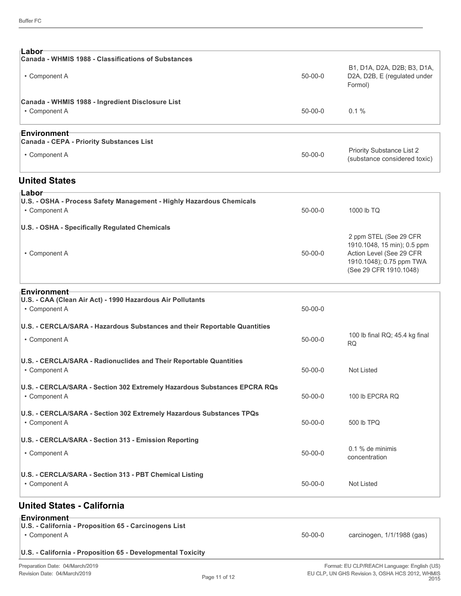| ⊧Labor<br>Canada - WHMIS 1988 - Classifications of Substances                              |               |                                                                                                                                         |  |
|--------------------------------------------------------------------------------------------|---------------|-----------------------------------------------------------------------------------------------------------------------------------------|--|
| • Component A                                                                              | $50 - 00 - 0$ | B1, D1A, D2A, D2B; B3, D1A,<br>D2A, D2B, E (regulated under<br>Formol)                                                                  |  |
| Canada - WHMIS 1988 - Ingredient Disclosure List<br>• Component A                          | $50 - 00 - 0$ | 0.1%                                                                                                                                    |  |
| ⊦Environment                                                                               |               |                                                                                                                                         |  |
| Canada - CEPA - Priority Substances List<br>• Component A                                  | $50 - 00 - 0$ | Priority Substance List 2<br>(substance considered toxic)                                                                               |  |
| <b>United States</b>                                                                       |               |                                                                                                                                         |  |
| ⊧Labor<br>U.S. - OSHA - Process Safety Management - Highly Hazardous Chemicals             |               |                                                                                                                                         |  |
| • Component A                                                                              | $50 - 00 - 0$ | 1000 lb TQ                                                                                                                              |  |
| U.S. - OSHA - Specifically Regulated Chemicals                                             |               |                                                                                                                                         |  |
| • Component A                                                                              | $50 - 00 - 0$ | 2 ppm STEL (See 29 CFR<br>1910.1048, 15 min); 0.5 ppm<br>Action Level (See 29 CFR<br>1910.1048); 0.75 ppm TWA<br>(See 29 CFR 1910.1048) |  |
| ⊦Environment                                                                               |               |                                                                                                                                         |  |
| U.S. - CAA (Clean Air Act) - 1990 Hazardous Air Pollutants<br>• Component A                | $50 - 00 - 0$ |                                                                                                                                         |  |
| U.S. - CERCLA/SARA - Hazardous Substances and their Reportable Quantities                  |               |                                                                                                                                         |  |
| • Component A                                                                              | $50 - 00 - 0$ | 100 lb final RQ; 45.4 kg final<br><b>RQ</b>                                                                                             |  |
| U.S. - CERCLA/SARA - Radionuclides and Their Reportable Quantities<br>• Component A        | $50 - 00 - 0$ | Not Listed                                                                                                                              |  |
| U.S. - CERCLA/SARA - Section 302 Extremely Hazardous Substances EPCRA RQs<br>• Component A | $50 - 00 - 0$ | 100 lb EPCRA RQ                                                                                                                         |  |
| U.S. - CERCLA/SARA - Section 302 Extremely Hazardous Substances TPQs<br>• Component A      | $50-00-0$     | 500 lb TPQ                                                                                                                              |  |
| U.S. - CERCLA/SARA - Section 313 - Emission Reporting                                      |               |                                                                                                                                         |  |
| • Component A                                                                              | $50 - 00 - 0$ | 0.1 % de minimis<br>concentration                                                                                                       |  |
| U.S. - CERCLA/SARA - Section 313 - PBT Chemical Listing<br>• Component A                   | $50-00-0$     | Not Listed                                                                                                                              |  |
| <b>United States - California</b>                                                          |               |                                                                                                                                         |  |
| ⊦Environment<br>U.S. - California - Proposition 65 - Carcinogens List<br>• Component A     | $50 - 00 - 0$ | carcinogen, 1/1/1988 (gas)                                                                                                              |  |
| U.S. - California - Proposition 65 - Developmental Toxicity                                |               |                                                                                                                                         |  |
|                                                                                            |               |                                                                                                                                         |  |